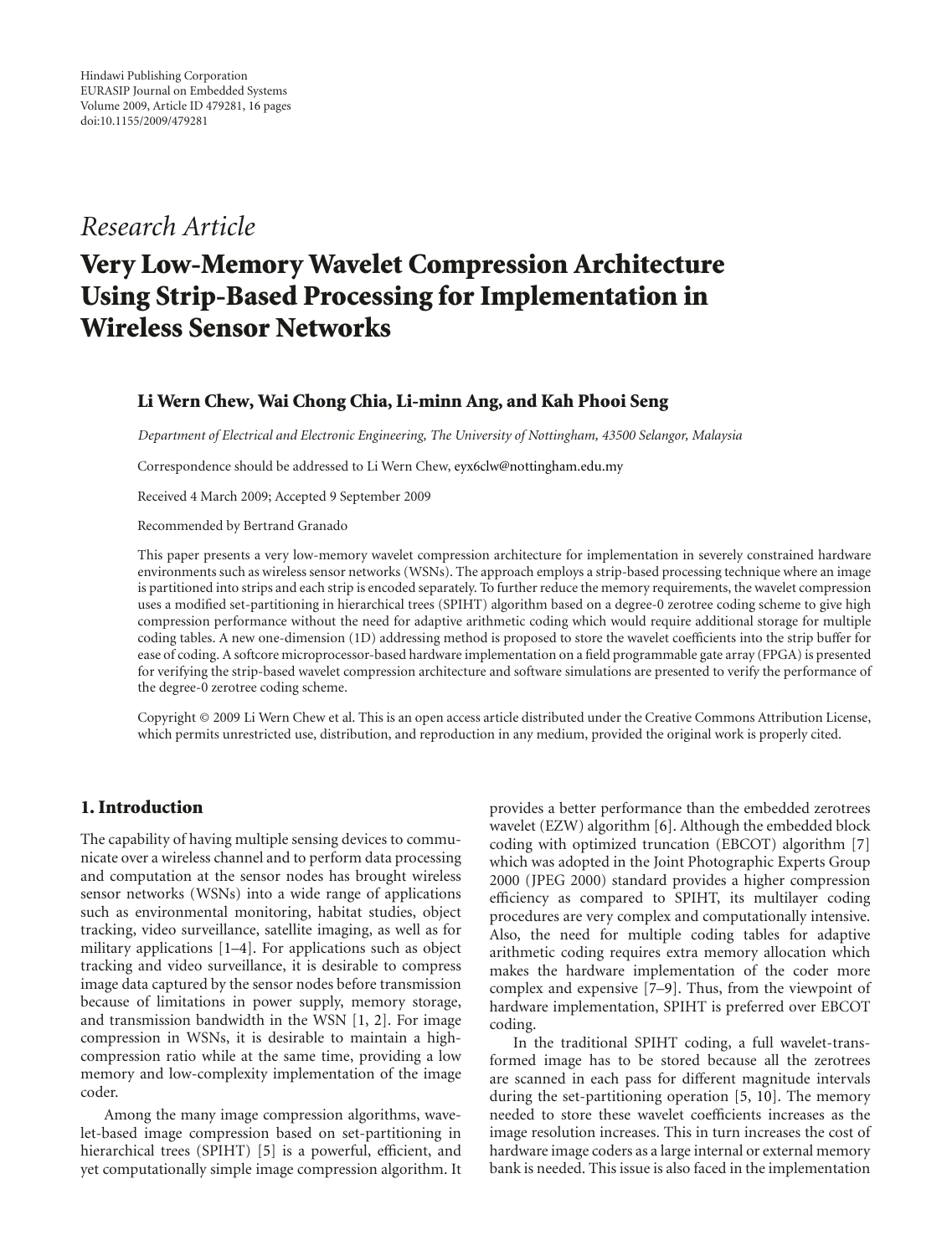# *Research Article*

# **Very Low-Memory Wavelet Compression Architecture Using Strip-Based Processing for Implementation in Wireless Sensor Networks**

### **Li Wern Chew, Wai Chong Chia, Li-minn Ang, and Kah Phooi Seng**

*Department of Electrical and Electronic Engineering, The University of Nottingham, 43500 Selangor, Malaysia*

Correspondence should be addressed to Li Wern Chew, eyx6clw@nottingham.edu.my

Received 4 March 2009; Accepted 9 September 2009

Recommended by Bertrand Granado

This paper presents a very low-memory wavelet compression architecture for implementation in severely constrained hardware environments such as wireless sensor networks (WSNs). The approach employs a strip-based processing technique where an image is partitioned into strips and each strip is encoded separately. To further reduce the memory requirements, the wavelet compression uses a modified set-partitioning in hierarchical trees (SPIHT) algorithm based on a degree-0 zerotree coding scheme to give high compression performance without the need for adaptive arithmetic coding which would require additional storage for multiple coding tables. A new one-dimension (1D) addressing method is proposed to store the wavelet coefficients into the strip buffer for ease of coding. A softcore microprocessor-based hardware implementation on a field programmable gate array (FPGA) is presented for verifying the strip-based wavelet compression architecture and software simulations are presented to verify the performance of the degree-0 zerotree coding scheme.

Copyright © 2009 Li Wern Chew et al. This is an open access article distributed under the Creative Commons Attribution License, which permits unrestricted use, distribution, and reproduction in any medium, provided the original work is properly cited.

#### **1. Introduction**

The capability of having multiple sensing devices to communicate over a wireless channel and to perform data processing and computation at the sensor nodes has brought wireless sensor networks (WSNs) into a wide range of applications such as environmental monitoring, habitat studies, object tracking, video surveillance, satellite imaging, as well as for military applications [1–4]. For applications such as object tracking and video surveillance, it is desirable to compress image data captured by the sensor nodes before transmission because of limitations in power supply, memory storage, and transmission bandwidth in the WSN [1, 2]. For image compression in WSNs, it is desirable to maintain a highcompression ratio while at the same time, providing a low memory and low-complexity implementation of the image coder.

Among the many image compression algorithms, wavelet-based image compression based on set-partitioning in hierarchical trees (SPIHT) [5] is a powerful, efficient, and yet computationally simple image compression algorithm. It provides a better performance than the embedded zerotrees wavelet (EZW) algorithm [6]. Although the embedded block coding with optimized truncation (EBCOT) algorithm [7] which was adopted in the Joint Photographic Experts Group 2000 (JPEG 2000) standard provides a higher compression efficiency as compared to SPIHT, its multilayer coding procedures are very complex and computationally intensive. Also, the need for multiple coding tables for adaptive arithmetic coding requires extra memory allocation which makes the hardware implementation of the coder more complex and expensive [7–9]. Thus, from the viewpoint of hardware implementation, SPIHT is preferred over EBCOT coding.

In the traditional SPIHT coding, a full wavelet-transformed image has to be stored because all the zerotrees are scanned in each pass for different magnitude intervals during the set-partitioning operation [5, 10]. The memory needed to store these wavelet coefficients increases as the image resolution increases. This in turn increases the cost of hardware image coders as a large internal or external memory bank is needed. This issue is also faced in the implementation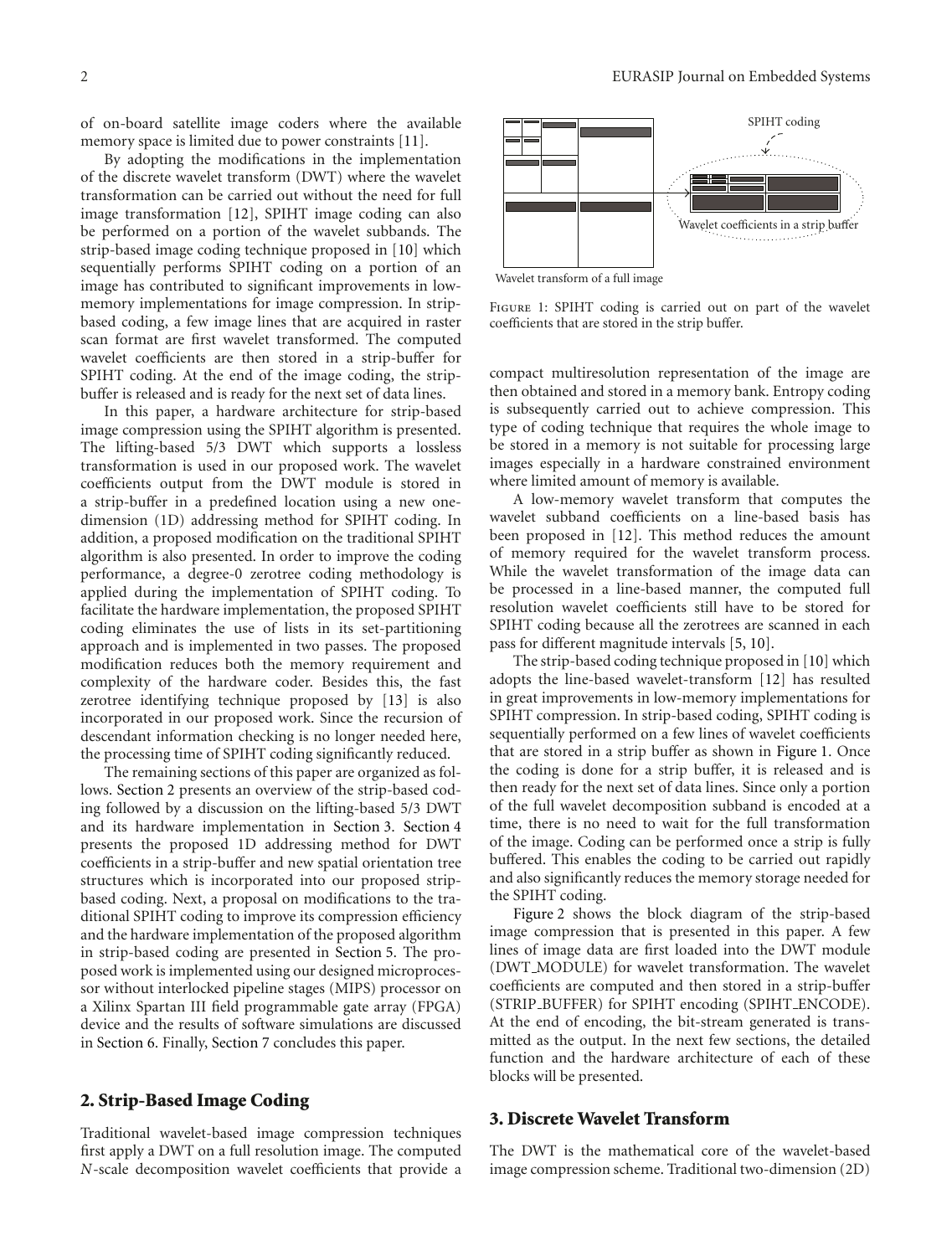of on-board satellite image coders where the available memory space is limited due to power constraints [11].

By adopting the modifications in the implementation of the discrete wavelet transform (DWT) where the wavelet transformation can be carried out without the need for full image transformation [12], SPIHT image coding can also be performed on a portion of the wavelet subbands. The strip-based image coding technique proposed in [10] which sequentially performs SPIHT coding on a portion of an image has contributed to significant improvements in lowmemory implementations for image compression. In stripbased coding, a few image lines that are acquired in raster scan format are first wavelet transformed. The computed wavelet coefficients are then stored in a strip-buffer for SPIHT coding. At the end of the image coding, the stripbuffer is released and is ready for the next set of data lines.

In this paper, a hardware architecture for strip-based image compression using the SPIHT algorithm is presented. The lifting-based 5/3 DWT which supports a lossless transformation is used in our proposed work. The wavelet coefficients output from the DWT module is stored in a strip-buffer in a predefined location using a new onedimension (1D) addressing method for SPIHT coding. In addition, a proposed modification on the traditional SPIHT algorithm is also presented. In order to improve the coding performance, a degree-0 zerotree coding methodology is applied during the implementation of SPIHT coding. To facilitate the hardware implementation, the proposed SPIHT coding eliminates the use of lists in its set-partitioning approach and is implemented in two passes. The proposed modification reduces both the memory requirement and complexity of the hardware coder. Besides this, the fast zerotree identifying technique proposed by [13] is also incorporated in our proposed work. Since the recursion of descendant information checking is no longer needed here, the processing time of SPIHT coding significantly reduced.

The remaining sections of this paper are organized as follows. Section 2 presents an overview of the strip-based coding followed by a discussion on the lifting-based 5/3 DWT and its hardware implementation in Section 3. Section 4 presents the proposed 1D addressing method for DWT coefficients in a strip-buffer and new spatial orientation tree structures which is incorporated into our proposed stripbased coding. Next, a proposal on modifications to the traditional SPIHT coding to improve its compression efficiency and the hardware implementation of the proposed algorithm in strip-based coding are presented in Section 5. The proposed work is implemented using our designed microprocessor without interlocked pipeline stages (MIPS) processor on a Xilinx Spartan III field programmable gate array (FPGA) device and the results of software simulations are discussed in Section 6. Finally, Section 7 concludes this paper.

#### **2. Strip-Based Image Coding**

Traditional wavelet-based image compression techniques first apply a DWT on a full resolution image. The computed *N*-scale decomposition wavelet coefficients that provide a



Wavelet transform of a full image

FIGURE 1: SPIHT coding is carried out on part of the wavelet coefficients that are stored in the strip buffer.

compact multiresolution representation of the image are then obtained and stored in a memory bank. Entropy coding is subsequently carried out to achieve compression. This type of coding technique that requires the whole image to be stored in a memory is not suitable for processing large images especially in a hardware constrained environment where limited amount of memory is available.

A low-memory wavelet transform that computes the wavelet subband coefficients on a line-based basis has been proposed in [12]. This method reduces the amount of memory required for the wavelet transform process. While the wavelet transformation of the image data can be processed in a line-based manner, the computed full resolution wavelet coefficients still have to be stored for SPIHT coding because all the zerotrees are scanned in each pass for different magnitude intervals [5, 10].

The strip-based coding technique proposed in [10] which adopts the line-based wavelet-transform [12] has resulted in great improvements in low-memory implementations for SPIHT compression. In strip-based coding, SPIHT coding is sequentially performed on a few lines of wavelet coefficients that are stored in a strip buffer as shown in Figure 1. Once the coding is done for a strip buffer, it is released and is then ready for the next set of data lines. Since only a portion of the full wavelet decomposition subband is encoded at a time, there is no need to wait for the full transformation of the image. Coding can be performed once a strip is fully buffered. This enables the coding to be carried out rapidly and also significantly reduces the memory storage needed for the SPIHT coding.

Figure 2 shows the block diagram of the strip-based image compression that is presented in this paper. A few lines of image data are first loaded into the DWT module (DWT MODULE) for wavelet transformation. The wavelet coefficients are computed and then stored in a strip-buffer (STRIP BUFFER) for SPIHT encoding (SPIHT ENCODE). At the end of encoding, the bit-stream generated is transmitted as the output. In the next few sections, the detailed function and the hardware architecture of each of these blocks will be presented.

# **3. Discrete Wavelet Transform**

The DWT is the mathematical core of the wavelet-based image compression scheme. Traditional two-dimension (2D)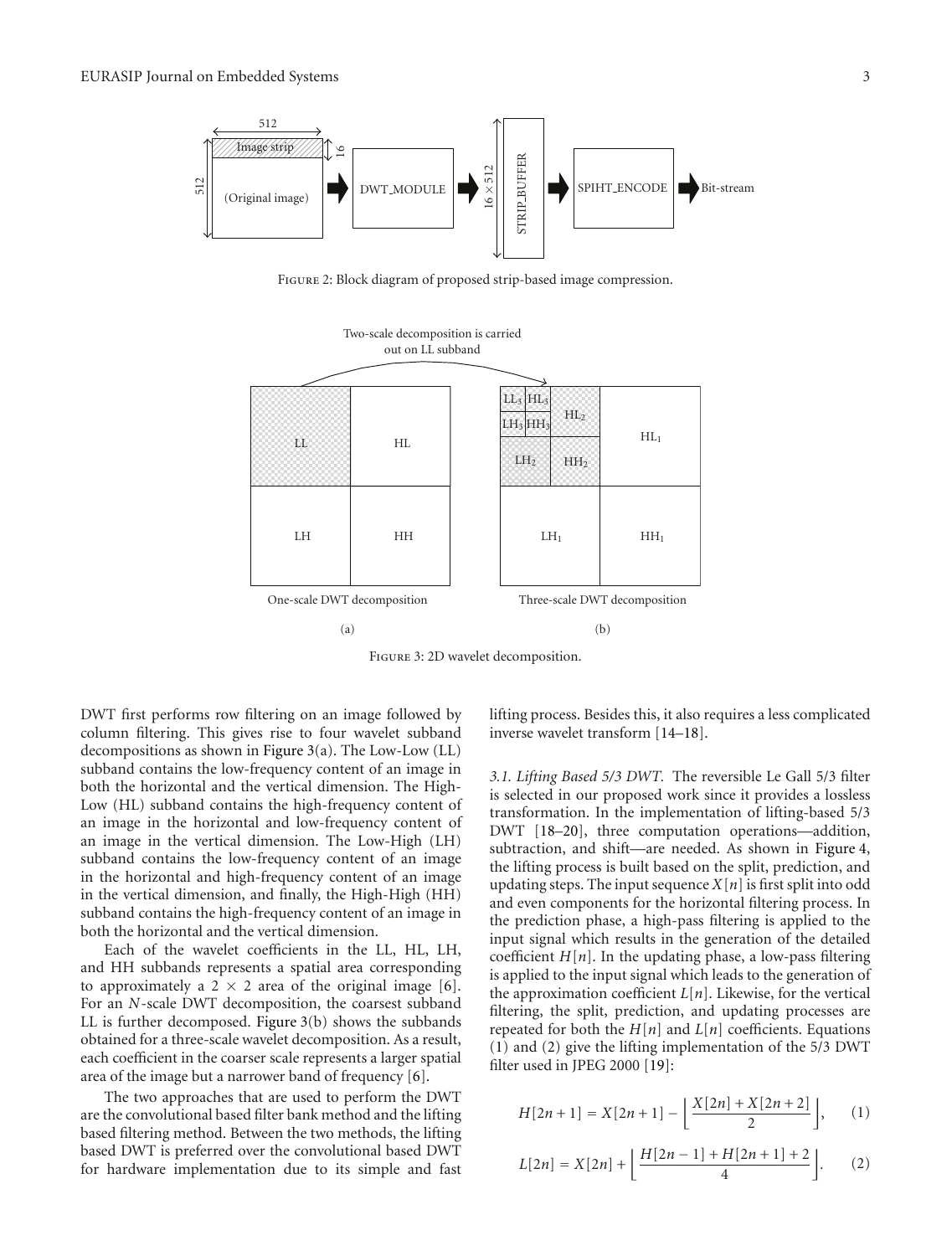

Figure 2: Block diagram of proposed strip-based image compression.



Figure 3: 2D wavelet decomposition.

DWT first performs row filtering on an image followed by column filtering. This gives rise to four wavelet subband decompositions as shown in Figure 3(a). The Low-Low (LL) subband contains the low-frequency content of an image in both the horizontal and the vertical dimension. The High-Low (HL) subband contains the high-frequency content of an image in the horizontal and low-frequency content of an image in the vertical dimension. The Low-High (LH) subband contains the low-frequency content of an image in the horizontal and high-frequency content of an image in the vertical dimension, and finally, the High-High (HH) subband contains the high-frequency content of an image in both the horizontal and the vertical dimension.

Each of the wavelet coefficients in the LL, HL, LH, and HH subbands represents a spatial area corresponding to approximately a 2  $\times$  2 area of the original image [6]. For an *N*-scale DWT decomposition, the coarsest subband LL is further decomposed. Figure 3(b) shows the subbands obtained for a three-scale wavelet decomposition. As a result, each coefficient in the coarser scale represents a larger spatial area of the image but a narrower band of frequency [6].

The two approaches that are used to perform the DWT are the convolutional based filter bank method and the lifting based filtering method. Between the two methods, the lifting based DWT is preferred over the convolutional based DWT for hardware implementation due to its simple and fast

lifting process. Besides this, it also requires a less complicated inverse wavelet transform [14–18].

*3.1. Lifting Based 5/3 DWT.* The reversible Le Gall 5/3 filter is selected in our proposed work since it provides a lossless transformation. In the implementation of lifting-based 5/3 DWT [18–20], three computation operations—addition, subtraction, and shift—are needed. As shown in Figure 4, the lifting process is built based on the split, prediction, and updating steps. The input sequence  $X[n]$  is first split into odd and even components for the horizontal filtering process. In the prediction phase, a high-pass filtering is applied to the input signal which results in the generation of the detailed coefficient  $H[n]$ . In the updating phase, a low-pass filtering is applied to the input signal which leads to the generation of the approximation coefficient  $L[n]$ . Likewise, for the vertical filtering, the split, prediction, and updating processes are repeated for both the  $H[n]$  and  $L[n]$  coefficients. Equations (1) and (2) give the lifting implementation of the 5/3 DWT filter used in JPEG 2000 [19]:

$$
H[2n+1] = X[2n+1] - \left\lfloor \frac{X[2n] + X[2n+2]}{2} \right\rfloor, \quad (1)
$$

$$
L[2n] = X[2n] + \left\lfloor \frac{H[2n-1] + H[2n+1] + 2}{4} \right\rfloor.
$$
 (2)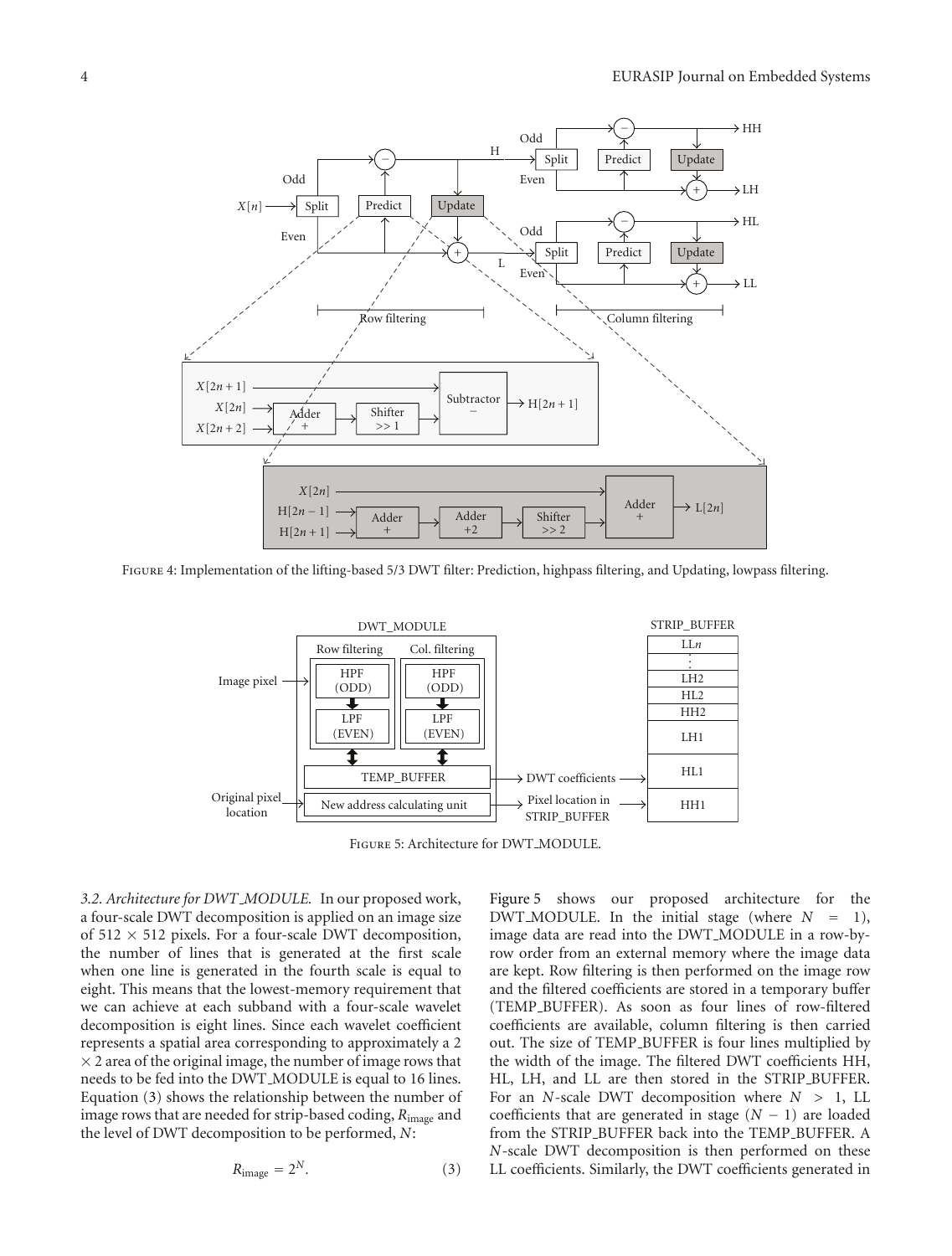

Figure 4: Implementation of the lifting-based 5/3 DWT filter: Prediction, highpass filtering, and Updating, lowpass filtering.



Figure 5: Architecture for DWT MODULE.

*3.2. Architecture for DWT MODULE.* In our proposed work, a four-scale DWT decomposition is applied on an image size of  $512 \times 512$  pixels. For a four-scale DWT decomposition, the number of lines that is generated at the first scale when one line is generated in the fourth scale is equal to eight. This means that the lowest-memory requirement that we can achieve at each subband with a four-scale wavelet decomposition is eight lines. Since each wavelet coefficient represents a spatial area corresponding to approximately a 2  $\times$  2 area of the original image, the number of image rows that needs to be fed into the DWT MODULE is equal to 16 lines. Equation (3) shows the relationship between the number of image rows that are needed for strip-based coding, *R*image and the level of DWT decomposition to be performed, *N*:

$$
R_{\text{image}} = 2^N. \tag{3}
$$

Figure 5 shows our proposed architecture for the DWT\_MODULE. In the initial stage (where  $N = 1$ ), image data are read into the DWT MODULE in a row-byrow order from an external memory where the image data are kept. Row filtering is then performed on the image row and the filtered coefficients are stored in a temporary buffer (TEMP BUFFER). As soon as four lines of row-filtered coefficients are available, column filtering is then carried out. The size of TEMP BUFFER is four lines multiplied by the width of the image. The filtered DWT coefficients HH, HL, LH, and LL are then stored in the STRIP BUFFER. For an *N*-scale DWT decomposition where *N >* 1, LL coefficients that are generated in stage (*N* − 1) are loaded from the STRIP BUFFER back into the TEMP BUFFER. A *N*-scale DWT decomposition is then performed on these LL coefficients. Similarly, the DWT coefficients generated in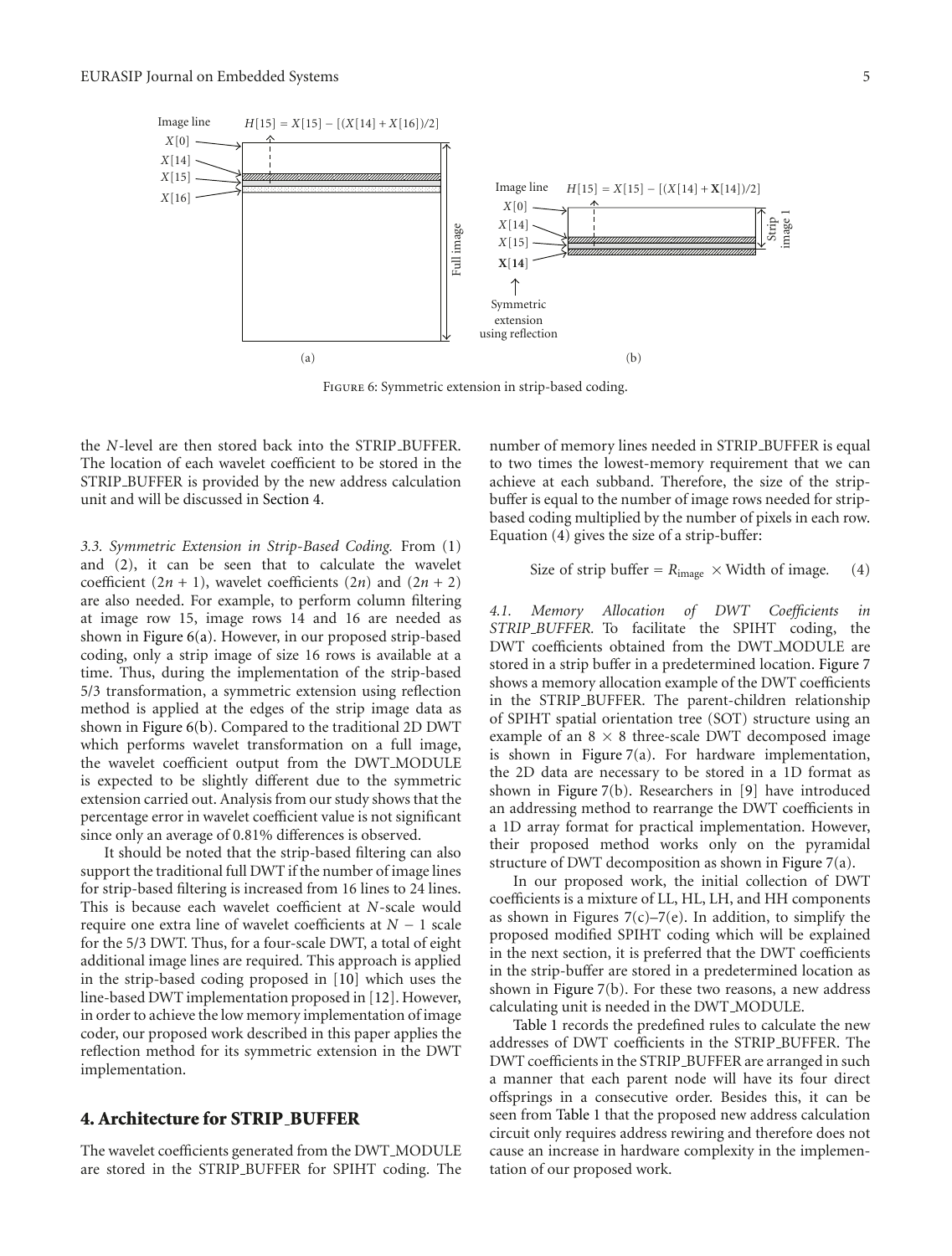

Figure 6: Symmetric extension in strip-based coding.

the *N*-level are then stored back into the STRIP\_BUFFER. The location of each wavelet coefficient to be stored in the STRIP BUFFER is provided by the new address calculation unit and will be discussed in Section 4.

*3.3. Symmetric Extension in Strip-Based Coding.* From (1) and (2), it can be seen that to calculate the wavelet coefficient  $(2n + 1)$ , wavelet coefficients  $(2n)$  and  $(2n + 2)$ are also needed. For example, to perform column filtering at image row 15, image rows 14 and 16 are needed as shown in Figure 6(a). However, in our proposed strip-based coding, only a strip image of size 16 rows is available at a time. Thus, during the implementation of the strip-based 5/3 transformation, a symmetric extension using reflection method is applied at the edges of the strip image data as shown in Figure 6(b). Compared to the traditional 2D DWT which performs wavelet transformation on a full image, the wavelet coefficient output from the DWT MODULE is expected to be slightly different due to the symmetric extension carried out. Analysis from our study shows that the percentage error in wavelet coefficient value is not significant since only an average of 0.81% differences is observed.

It should be noted that the strip-based filtering can also support the traditional full DWT if the number of image lines for strip-based filtering is increased from 16 lines to 24 lines. This is because each wavelet coefficient at *N*-scale would require one extra line of wavelet coefficients at *N* − 1 scale for the 5/3 DWT. Thus, for a four-scale DWT, a total of eight additional image lines are required. This approach is applied in the strip-based coding proposed in [10] which uses the line-based DWT implementation proposed in [12]. However, in order to achieve the low memory implementation of image coder, our proposed work described in this paper applies the reflection method for its symmetric extension in the DWT implementation.

# **4. Architecture for STRIP BUFFER**

The wavelet coefficients generated from the DWT\_MODULE are stored in the STRIP BUFFER for SPIHT coding. The number of memory lines needed in STRIP BUFFER is equal to two times the lowest-memory requirement that we can achieve at each subband. Therefore, the size of the stripbuffer is equal to the number of image rows needed for stripbased coding multiplied by the number of pixels in each row. Equation (4) gives the size of a strip-buffer:

Size of strip buffer = 
$$
R_{image} \times \text{Width of image.}
$$
 (4)

*4.1. Memory Allocation of DWT Coefficients in STRIP BUFFER.* To facilitate the SPIHT coding, the DWT coefficients obtained from the DWT MODULE are stored in a strip buffer in a predetermined location. Figure 7 shows a memory allocation example of the DWT coefficients in the STRIP BUFFER. The parent-children relationship of SPIHT spatial orientation tree (SOT) structure using an example of an  $8 \times 8$  three-scale DWT decomposed image is shown in Figure 7(a). For hardware implementation, the 2D data are necessary to be stored in a 1D format as shown in Figure 7(b). Researchers in [9] have introduced an addressing method to rearrange the DWT coefficients in a 1D array format for practical implementation. However, their proposed method works only on the pyramidal structure of DWT decomposition as shown in Figure 7(a).

In our proposed work, the initial collection of DWT coefficients is a mixture of LL, HL, LH, and HH components as shown in Figures  $7(c)$ – $7(e)$ . In addition, to simplify the proposed modified SPIHT coding which will be explained in the next section, it is preferred that the DWT coefficients in the strip-buffer are stored in a predetermined location as shown in Figure 7(b). For these two reasons, a new address calculating unit is needed in the DWT MODULE.

Table 1 records the predefined rules to calculate the new addresses of DWT coefficients in the STRIP BUFFER. The DWT coefficients in the STRIP BUFFER are arranged in such a manner that each parent node will have its four direct offsprings in a consecutive order. Besides this, it can be seen from Table 1 that the proposed new address calculation circuit only requires address rewiring and therefore does not cause an increase in hardware complexity in the implementation of our proposed work.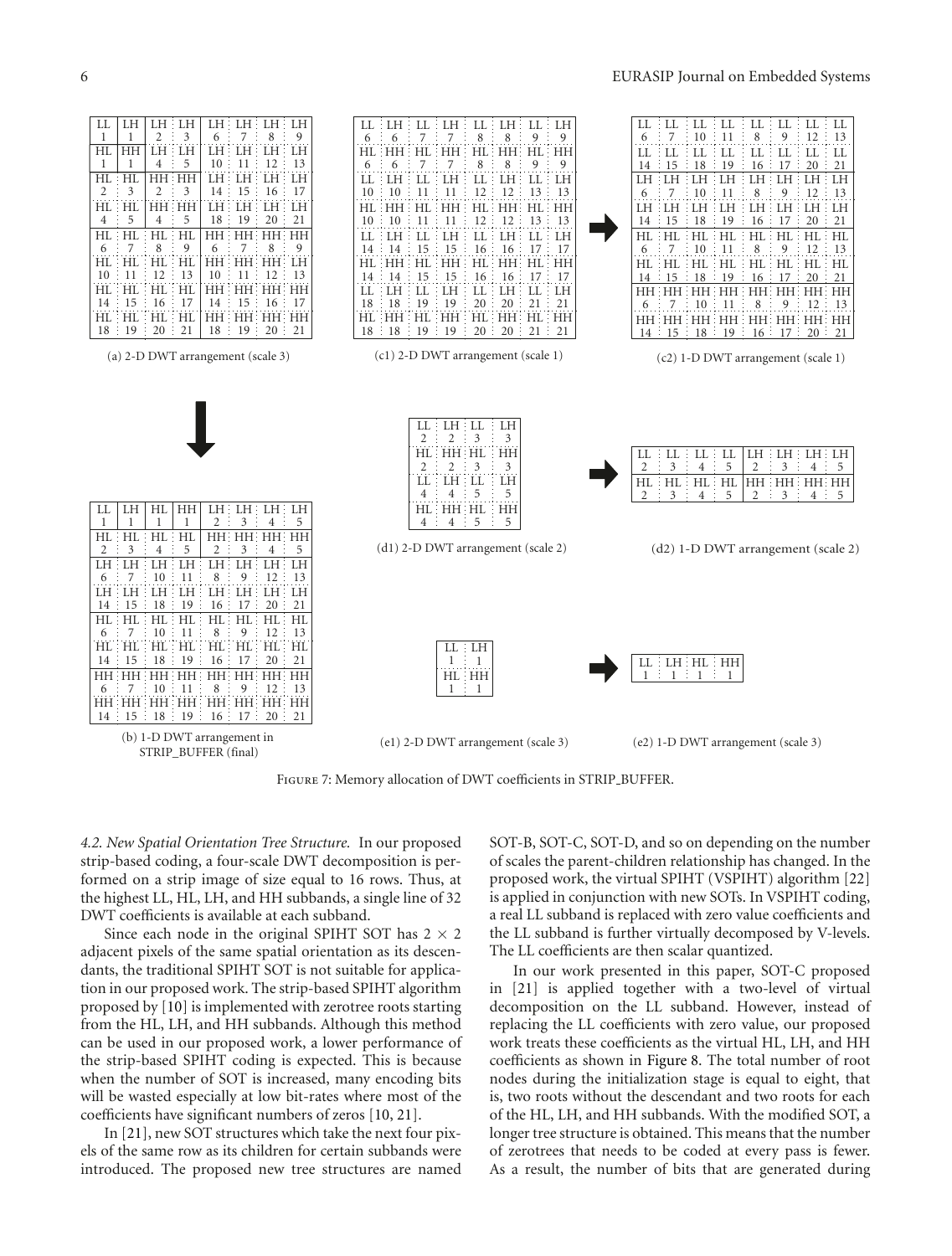

FIGURE 7: Memory allocation of DWT coefficients in STRIP\_BUFFER.

*4.2. New Spatial Orientation Tree Structure.* In our proposed strip-based coding, a four-scale DWT decomposition is performed on a strip image of size equal to 16 rows. Thus, at the highest LL, HL, LH, and HH subbands, a single line of 32 DWT coefficients is available at each subband.

Since each node in the original SPIHT SOT has  $2 \times 2$ adjacent pixels of the same spatial orientation as its descendants, the traditional SPIHT SOT is not suitable for application in our proposed work. The strip-based SPIHT algorithm proposed by [10] is implemented with zerotree roots starting from the HL, LH, and HH subbands. Although this method can be used in our proposed work, a lower performance of the strip-based SPIHT coding is expected. This is because when the number of SOT is increased, many encoding bits will be wasted especially at low bit-rates where most of the coefficients have significant numbers of zeros [10, 21].

In [21], new SOT structures which take the next four pixels of the same row as its children for certain subbands were introduced. The proposed new tree structures are named SOT-B, SOT-C, SOT-D, and so on depending on the number of scales the parent-children relationship has changed. In the proposed work, the virtual SPIHT (VSPIHT) algorithm [22] is applied in conjunction with new SOTs. In VSPIHT coding, a real LL subband is replaced with zero value coefficients and the LL subband is further virtually decomposed by V-levels. The LL coefficients are then scalar quantized.

In our work presented in this paper, SOT-C proposed in [21] is applied together with a two-level of virtual decomposition on the LL subband. However, instead of replacing the LL coefficients with zero value, our proposed work treats these coefficients as the virtual HL, LH, and HH coefficients as shown in Figure 8. The total number of root nodes during the initialization stage is equal to eight, that is, two roots without the descendant and two roots for each of the HL, LH, and HH subbands. With the modified SOT, a longer tree structure is obtained. This means that the number of zerotrees that needs to be coded at every pass is fewer. As a result, the number of bits that are generated during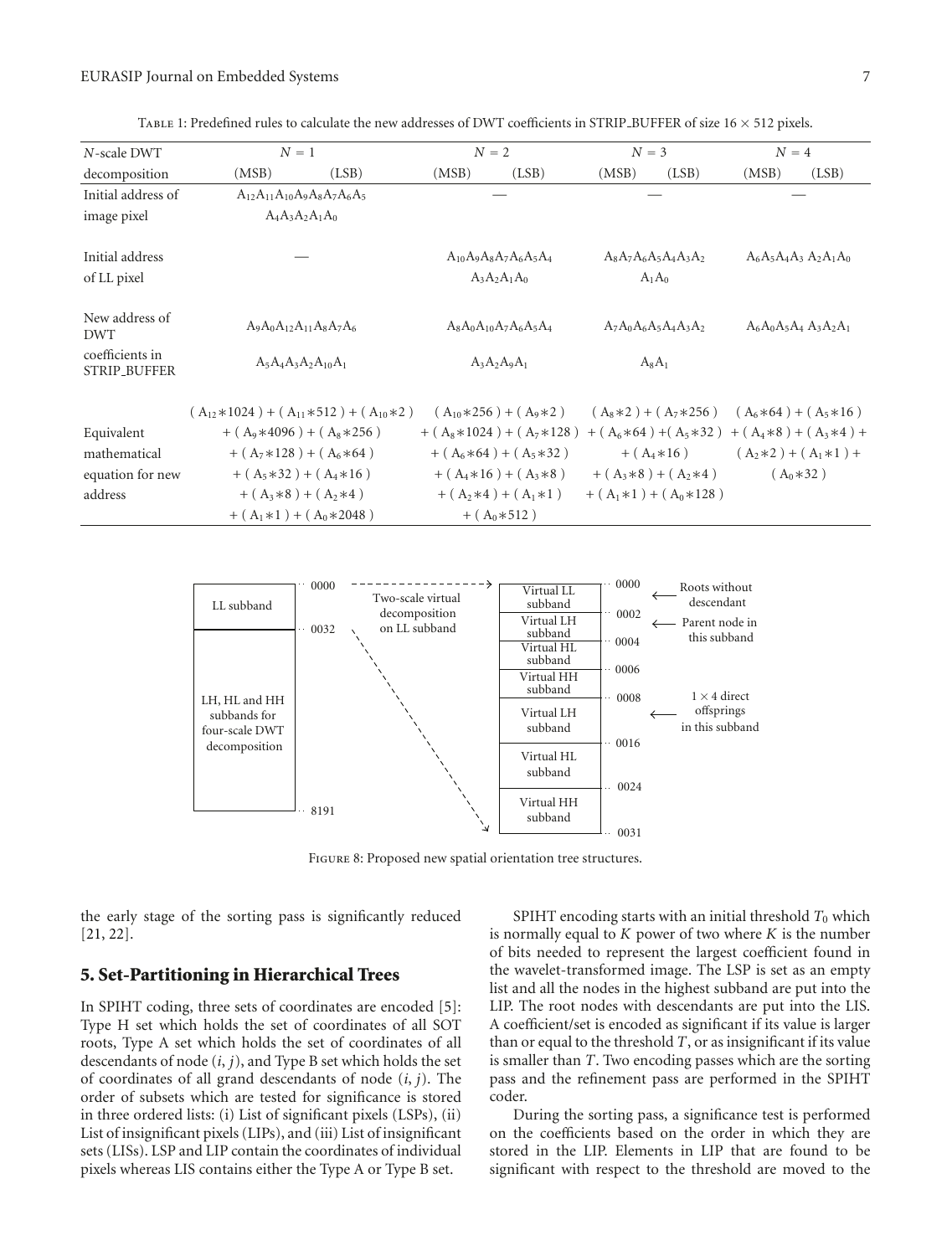| N-scale DWT                            | $N=1$                                             |       | $N=2$ |                                |                             | $N = 3$                 |       | $N=4$                       |  |
|----------------------------------------|---------------------------------------------------|-------|-------|--------------------------------|-----------------------------|-------------------------|-------|-----------------------------|--|
| decomposition                          | (MSB)                                             | (LSB) | (MSB) | (LSB)                          | (MSB)                       | (LSB)                   | (MSB) | (LSB)                       |  |
| Initial address of                     | $A_{12}A_{11}A_{10}A_9A_8A_7A_6A_5$               |       |       |                                |                             |                         |       |                             |  |
| image pixel                            | $A_4A_3A_2A_1A_0$                                 |       |       |                                |                             |                         |       |                             |  |
| Initial address                        |                                                   |       |       | $A_{10}A_9A_8A_7A_6A_5A_4$     | $A_8A_7A_6A_5A_4A_3A_2$     |                         |       | $A_6A_5A_4A_3A_2A_1A_0$     |  |
| of LL pixel                            |                                                   |       |       | $A_3A_2A_1A_0$                 |                             | $A_1A_0$                |       |                             |  |
| New address of<br><b>DWT</b>           | $A_9A_0A_{12}A_{11}A_8A_7A_6$                     |       |       | $A_8A_0A_{10}A_7A_6A_5A_4$     |                             | $A_7A_0A_6A_5A_4A_3A_2$ |       | $A_6A_0A_5A_4A_3A_2A_1$     |  |
| coefficients in<br><b>STRIP_BUFFER</b> | $A_5A_4A_3A_2A_{10}A_1$                           |       |       | $A_3A_2A_9A_1$                 | $A_8A_1$                    |                         |       |                             |  |
|                                        | $(A_{12} * 1024) + (A_{11} * 512) + (A_{10} * 2)$ |       |       | $(A_{10}*256) + (A_9*2)$       | $(A_8*2) + (A_7*256)$       |                         |       | $(A_6*64) + (A_5*16)$       |  |
| Equivalent                             | $+ (A_9*4096) + (A_8*256)$                        |       |       | $+ (A_8 * 1024) + (A_7 * 128)$ | $+ (A_6 * 64) + (A_5 * 32)$ |                         |       | $+ (A_4 * 8) + (A_3 * 4) +$ |  |
| mathematical                           | + $(A_7*128)$ + $(A_6*64)$                        |       |       | $+ (A_6 * 64) + (A_5 * 32)$    |                             | $+ (A_4 * 16)$          |       | $(A_2*2) + (A_1*1) +$       |  |
| equation for new                       | $+ (A_5 * 32) + (A_4 * 16)$                       |       |       | $+ (A_4*16) + (A_3*8)$         | $+ (A_3*8) + (A_2*4)$       |                         |       | $(A_0*32)$                  |  |
| address                                | $+ (A_3*8) + (A_2*4)$                             |       |       | $+ (A_2*4) + (A_1*1)$          | $+ (A_1 * 1) + (A_0 * 128)$ |                         |       |                             |  |
|                                        | $+ (A_1 * 1) + (A_0 * 2048)$                      |       |       | $+ (A_0*512)$                  |                             |                         |       |                             |  |

Table 1: Predefined rules to calculate the new addresses of DWT coefficients in STRIP BUFFER of size 16 × 512 pixels.



Figure 8: Proposed new spatial orientation tree structures.

the early stage of the sorting pass is significantly reduced [21, 22].

# **5. Set-Partitioning in Hierarchical Trees**

In SPIHT coding, three sets of coordinates are encoded [5]: Type H set which holds the set of coordinates of all SOT roots, Type A set which holds the set of coordinates of all descendants of node (*i*, *j*), and Type B set which holds the set of coordinates of all grand descendants of node (*i*, *j*). The order of subsets which are tested for significance is stored in three ordered lists: (i) List of significant pixels (LSPs), (ii) List of insignificant pixels (LIPs), and (iii) List of insignificant sets (LISs). LSP and LIP contain the coordinates of individual pixels whereas LIS contains either the Type A or Type B set.

SPIHT encoding starts with an initial threshold  $T_0$  which is normally equal to *K* power of two where *K* is the number of bits needed to represent the largest coefficient found in the wavelet-transformed image. The LSP is set as an empty list and all the nodes in the highest subband are put into the LIP. The root nodes with descendants are put into the LIS. A coefficient/set is encoded as significant if its value is larger than or equal to the threshold *T*, or as insignificant if its value is smaller than *T*. Two encoding passes which are the sorting pass and the refinement pass are performed in the SPIHT coder.

During the sorting pass, a significance test is performed on the coefficients based on the order in which they are stored in the LIP. Elements in LIP that are found to be significant with respect to the threshold are moved to the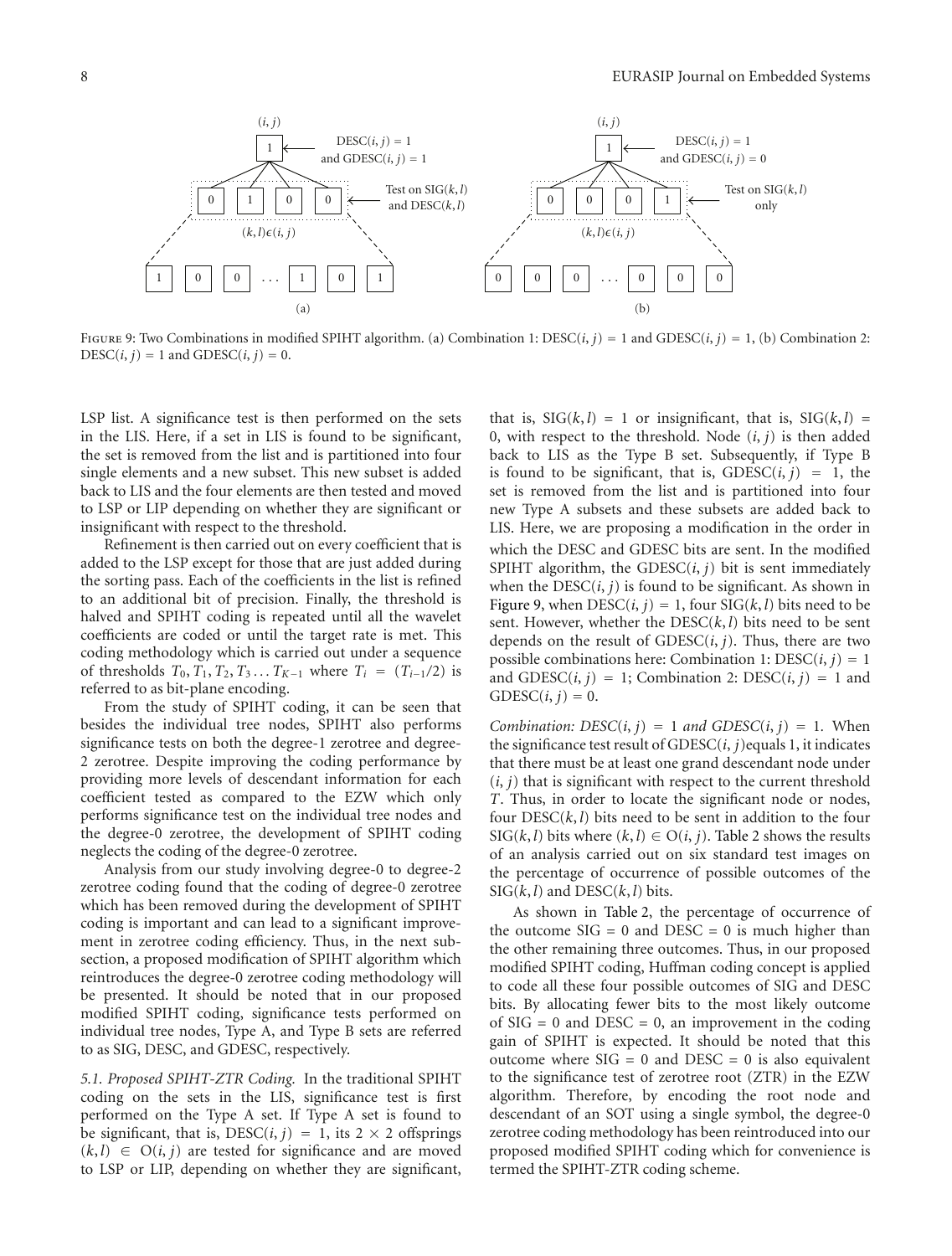

FIGURE 9: Two Combinations in modified SPIHT algorithm. (a) Combination 1:  $\text{DESC}(i, j) = 1$  and  $\text{GDESC}(i, j) = 1$ , (b) Combination 2:  $DESC(i, j) = 1$  and  $GDESC(i, j) = 0$ .

LSP list. A significance test is then performed on the sets in the LIS. Here, if a set in LIS is found to be significant, the set is removed from the list and is partitioned into four single elements and a new subset. This new subset is added back to LIS and the four elements are then tested and moved to LSP or LIP depending on whether they are significant or insignificant with respect to the threshold.

Refinement is then carried out on every coefficient that is added to the LSP except for those that are just added during the sorting pass. Each of the coefficients in the list is refined to an additional bit of precision. Finally, the threshold is halved and SPIHT coding is repeated until all the wavelet coefficients are coded or until the target rate is met. This coding methodology which is carried out under a sequence of thresholds  $T_0, T_1, T_2, T_3, \ldots T_{K-1}$  where  $T_i = (T_{i-1}/2)$  is referred to as bit-plane encoding.

From the study of SPIHT coding, it can be seen that besides the individual tree nodes, SPIHT also performs significance tests on both the degree-1 zerotree and degree-2 zerotree. Despite improving the coding performance by providing more levels of descendant information for each coefficient tested as compared to the EZW which only performs significance test on the individual tree nodes and the degree-0 zerotree, the development of SPIHT coding neglects the coding of the degree-0 zerotree.

Analysis from our study involving degree-0 to degree-2 zerotree coding found that the coding of degree-0 zerotree which has been removed during the development of SPIHT coding is important and can lead to a significant improvement in zerotree coding efficiency. Thus, in the next subsection, a proposed modification of SPIHT algorithm which reintroduces the degree-0 zerotree coding methodology will be presented. It should be noted that in our proposed modified SPIHT coding, significance tests performed on individual tree nodes, Type A, and Type B sets are referred to as SIG, DESC, and GDESC, respectively.

*5.1. Proposed SPIHT-ZTR Coding.* In the traditional SPIHT coding on the sets in the LIS, significance test is first performed on the Type A set. If Type A set is found to be significant, that is, DESC(*i*, *j*) = 1, its  $2 \times 2$  offsprings  $(k, l) \in O(i, j)$  are tested for significance and are moved to LSP or LIP, depending on whether they are significant,

that is,  $\text{SIG}(k, l) = 1$  or insignificant, that is,  $\text{SIG}(k, l) =$ 0, with respect to the threshold. Node  $(i, j)$  is then added back to LIS as the Type B set. Subsequently, if Type B is found to be significant, that is,  $GDESC(i, j) = 1$ , the set is removed from the list and is partitioned into four new Type A subsets and these subsets are added back to LIS. Here, we are proposing a modification in the order in which the DESC and GDESC bits are sent. In the modified SPIHT algorithm, the GDESC $(i, j)$  bit is sent immediately when the  $DESC(i, j)$  is found to be significant. As shown in Figure 9, when  $DESC(i, j) = 1$ , four  $SIG(k, l)$  bits need to be sent. However, whether the DESC(*k*, *l*) bits need to be sent depends on the result of  $GDESC(i, j)$ . Thus, there are two possible combinations here: Combination 1:  $DESC(i, j) = 1$ and  $GDESC(i, j) = 1$ ; Combination 2:  $DESC(i, j) = 1$  and  $GDESC(i, j) = 0.$ 

*Combination:*  $DESC(i, j) = 1$  *and GDESC* $(i, j) = 1$ . When the significance test result of GDESC(*i*, *j*)equals 1, it indicates that there must be at least one grand descendant node under  $(i, j)$  that is significant with respect to the current threshold *T*. Thus, in order to locate the significant node or nodes, four  $DESC(k, l)$  bits need to be sent in addition to the four  $\text{SIG}(k, l)$  bits where  $(k, l) \in \text{O}(i, j)$ . Table 2 shows the results of an analysis carried out on six standard test images on the percentage of occurrence of possible outcomes of the  $SIG(k, l)$  and  $DESC(k, l)$  bits.

As shown in Table 2, the percentage of occurrence of the outcome  $SIG = 0$  and  $DESC = 0$  is much higher than the other remaining three outcomes. Thus, in our proposed modified SPIHT coding, Huffman coding concept is applied to code all these four possible outcomes of SIG and DESC bits. By allocating fewer bits to the most likely outcome of  $SIG = 0$  and  $DESC = 0$ , an improvement in the coding gain of SPIHT is expected. It should be noted that this outcome where  $SIG = 0$  and  $DESC = 0$  is also equivalent to the significance test of zerotree root (ZTR) in the EZW algorithm. Therefore, by encoding the root node and descendant of an SOT using a single symbol, the degree-0 zerotree coding methodology has been reintroduced into our proposed modified SPIHT coding which for convenience is termed the SPIHT-ZTR coding scheme.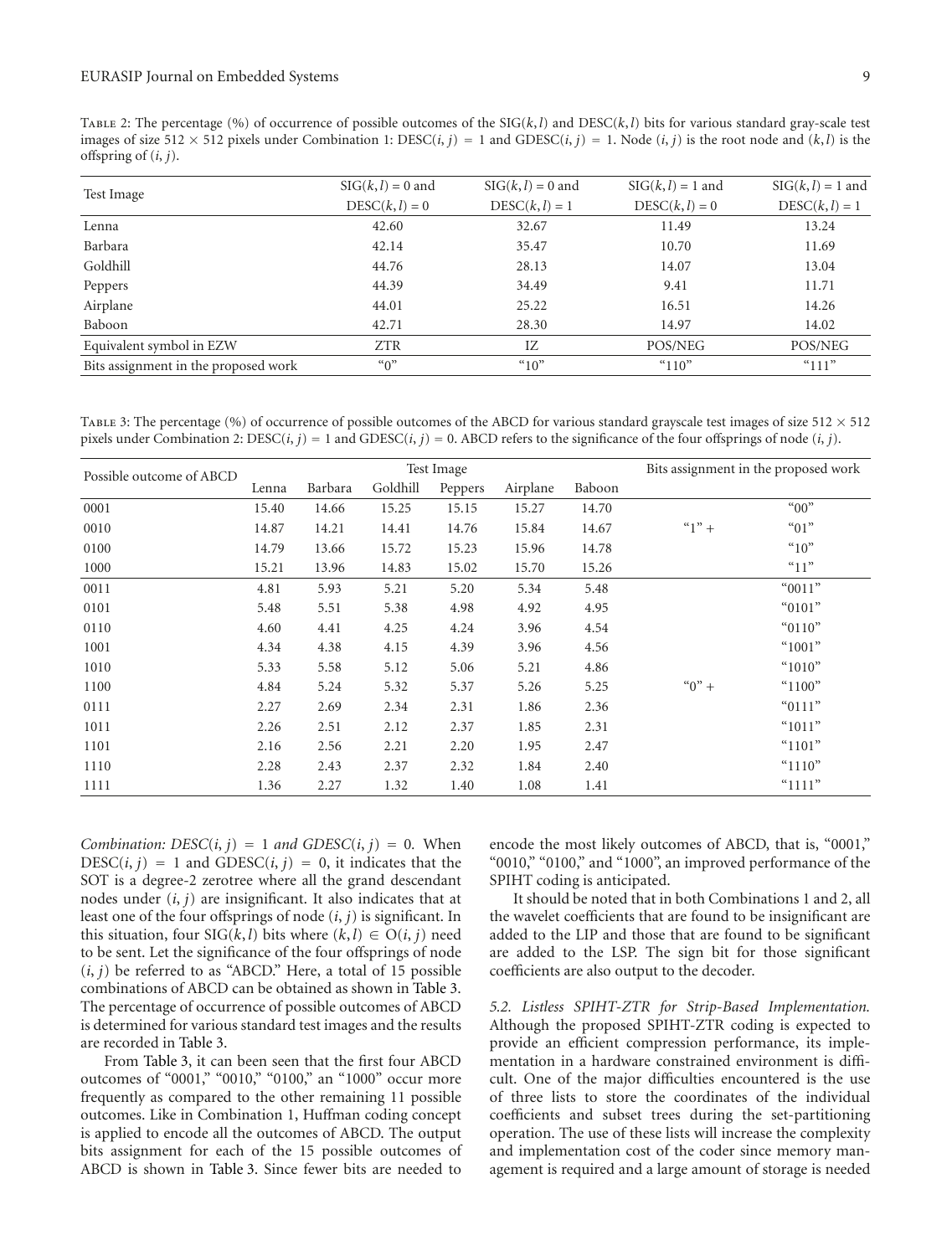TABLE 2: The percentage (%) of occurrence of possible outcomes of the  $\text{SIG}(k, l)$  and  $\text{DESC}(k, l)$  bits for various standard gray-scale test images of size  $512 \times 512$  pixels under Combination 1: DESC(*i*, *j*) = 1 and GDESC(*i*, *j*) = 1. Node (*i*, *j*) is the root node and (*k*, *l*) is the offspring of (*i*, *j*).

|                                      | $SIG(k, l) = 0$ and | $\text{SIG}(k, l) = 0$ and | $SIG(k, l) = 1$ and | $SIG(k, l) = 1$ and |
|--------------------------------------|---------------------|----------------------------|---------------------|---------------------|
| Test Image                           | $DESC(k, l) = 0$    | $DESC(k, l) = 1$           | $DESC(k, l) = 0$    | $DESC(k, l) = 1$    |
| Lenna                                | 42.60               | 32.67                      | 11.49               | 13.24               |
| Barbara                              | 42.14               | 35.47                      | 10.70               | 11.69               |
| Goldhill                             | 44.76               | 28.13                      | 14.07               | 13.04               |
| Peppers                              | 44.39               | 34.49                      | 9.41                | 11.71               |
| Airplane                             | 44.01               | 25.22                      | 16.51               | 14.26               |
| Baboon                               | 42.71               | 28.30                      | 14.97               | 14.02               |
| Equivalent symbol in EZW             | <b>ZTR</b>          | IZ.                        | POS/NEG             | POS/NEG             |
| Bits assignment in the proposed work | ``0"                | $^{\circ}10^{\circ}$       | " $110"$            | " $111"$            |

TABLE 3: The percentage (%) of occurrence of possible outcomes of the ABCD for various standard grayscale test images of size  $512 \times 512$ pixels under Combination 2:  $\text{DESC}(i, j) = 1$  and  $\text{GDESC}(i, j) = 0$ . ABCD refers to the significance of the four offsprings of node  $(i, j)$ .

|                          | Test Image |         |          |         |          |        | Bits assignment in the proposed work |           |
|--------------------------|------------|---------|----------|---------|----------|--------|--------------------------------------|-----------|
| Possible outcome of ABCD | Lenna      | Barbara | Goldhill | Peppers | Airplane | Baboon |                                      |           |
| 0001                     | 15.40      | 14.66   | 15.25    | 15.15   | 15.27    | 14.70  |                                      | "00"      |
| 0010                     | 14.87      | 14.21   | 14.41    | 14.76   | 15.84    | 14.67  | $"1" +$                              | $``01"$   |
| 0100                     | 14.79      | 13.66   | 15.72    | 15.23   | 15.96    | 14.78  |                                      | ``10"     |
| 1000                     | 15.21      | 13.96   | 14.83    | 15.02   | 15.70    | 15.26  |                                      | "11"      |
| 0011                     | 4.81       | 5.93    | 5.21     | 5.20    | 5.34     | 5.48   |                                      | "0011"    |
| 0101                     | 5.48       | 5.51    | 5.38     | 4.98    | 4.92     | 4.95   |                                      | " $0101"$ |
| 0110                     | 4.60       | 4.41    | 4.25     | 4.24    | 3.96     | 4.54   |                                      | " $0110"$ |
| 1001                     | 4.34       | 4.38    | 4.15     | 4.39    | 3.96     | 4.56   |                                      | " $1001"$ |
| 1010                     | 5.33       | 5.58    | 5.12     | 5.06    | 5.21     | 4.86   |                                      | " $1010"$ |
| 1100                     | 4.84       | 5.24    | 5.32     | 5.37    | 5.26     | 5.25   | $(0)$ +                              | " $1100"$ |
| 0111                     | 2.27       | 2.69    | 2.34     | 2.31    | 1.86     | 2.36   |                                      | " $0111"$ |
| 1011                     | 2.26       | 2.51    | 2.12     | 2.37    | 1.85     | 2.31   |                                      | " $1011"$ |
| 1101                     | 2.16       | 2.56    | 2.21     | 2.20    | 1.95     | 2.47   |                                      | " $1101"$ |
| 1110                     | 2.28       | 2.43    | 2.37     | 2.32    | 1.84     | 2.40   |                                      | " $1110"$ |
| 1111                     | 1.36       | 2.27    | 1.32     | 1.40    | 1.08     | 1.41   |                                      | " $1111"$ |

*Combination:*  $DESC(i, j) = 1$  *and*  $GDESC(i, j) = 0$ *.* When  $DESC(i, j) = 1$  and  $GDESC(i, j) = 0$ , it indicates that the SOT is a degree-2 zerotree where all the grand descendant nodes under (*i*, *j*) are insignificant. It also indicates that at least one of the four offsprings of node (*i*, *j*) is significant. In this situation, four  $\text{SIG}(k, l)$  bits where  $(k, l) \in \text{O}(i, j)$  need to be sent. Let the significance of the four offsprings of node  $(i, j)$  be referred to as "ABCD." Here, a total of 15 possible combinations of ABCD can be obtained as shown in Table 3. The percentage of occurrence of possible outcomes of ABCD is determined for various standard test images and the results are recorded in Table 3.

From Table 3, it can been seen that the first four ABCD outcomes of "0001," "0010," "0100," an "1000" occur more frequently as compared to the other remaining 11 possible outcomes. Like in Combination 1, Huffman coding concept is applied to encode all the outcomes of ABCD. The output bits assignment for each of the 15 possible outcomes of ABCD is shown in Table 3. Since fewer bits are needed to

encode the most likely outcomes of ABCD, that is, "0001," "0010," "0100," and "1000", an improved performance of the SPIHT coding is anticipated.

It should be noted that in both Combinations 1 and 2, all the wavelet coefficients that are found to be insignificant are added to the LIP and those that are found to be significant are added to the LSP. The sign bit for those significant coefficients are also output to the decoder.

*5.2. Listless SPIHT-ZTR for Strip-Based Implementation.* Although the proposed SPIHT-ZTR coding is expected to provide an efficient compression performance, its implementation in a hardware constrained environment is difficult. One of the major difficulties encountered is the use of three lists to store the coordinates of the individual coefficients and subset trees during the set-partitioning operation. The use of these lists will increase the complexity and implementation cost of the coder since memory management is required and a large amount of storage is needed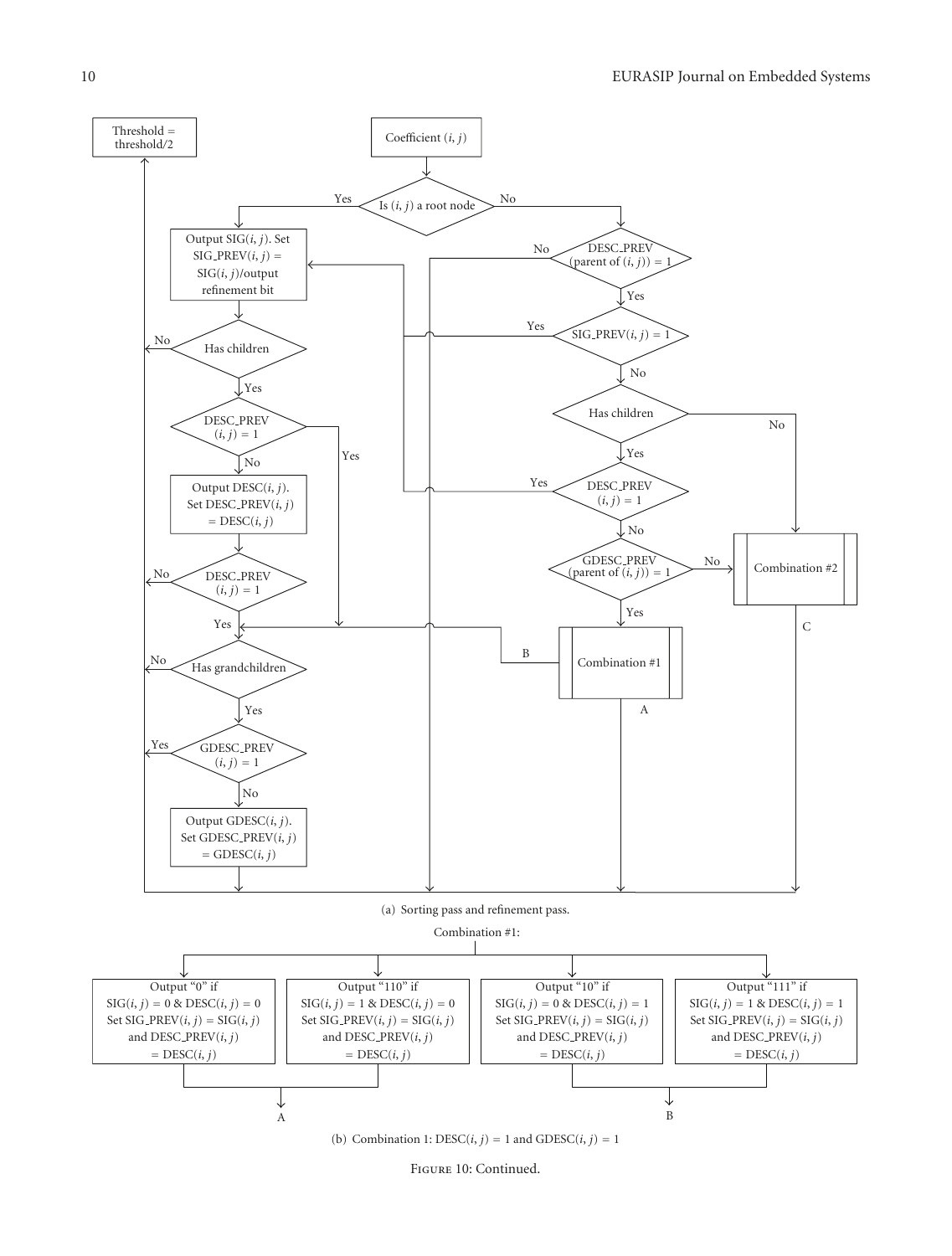

Figure 10: Continued.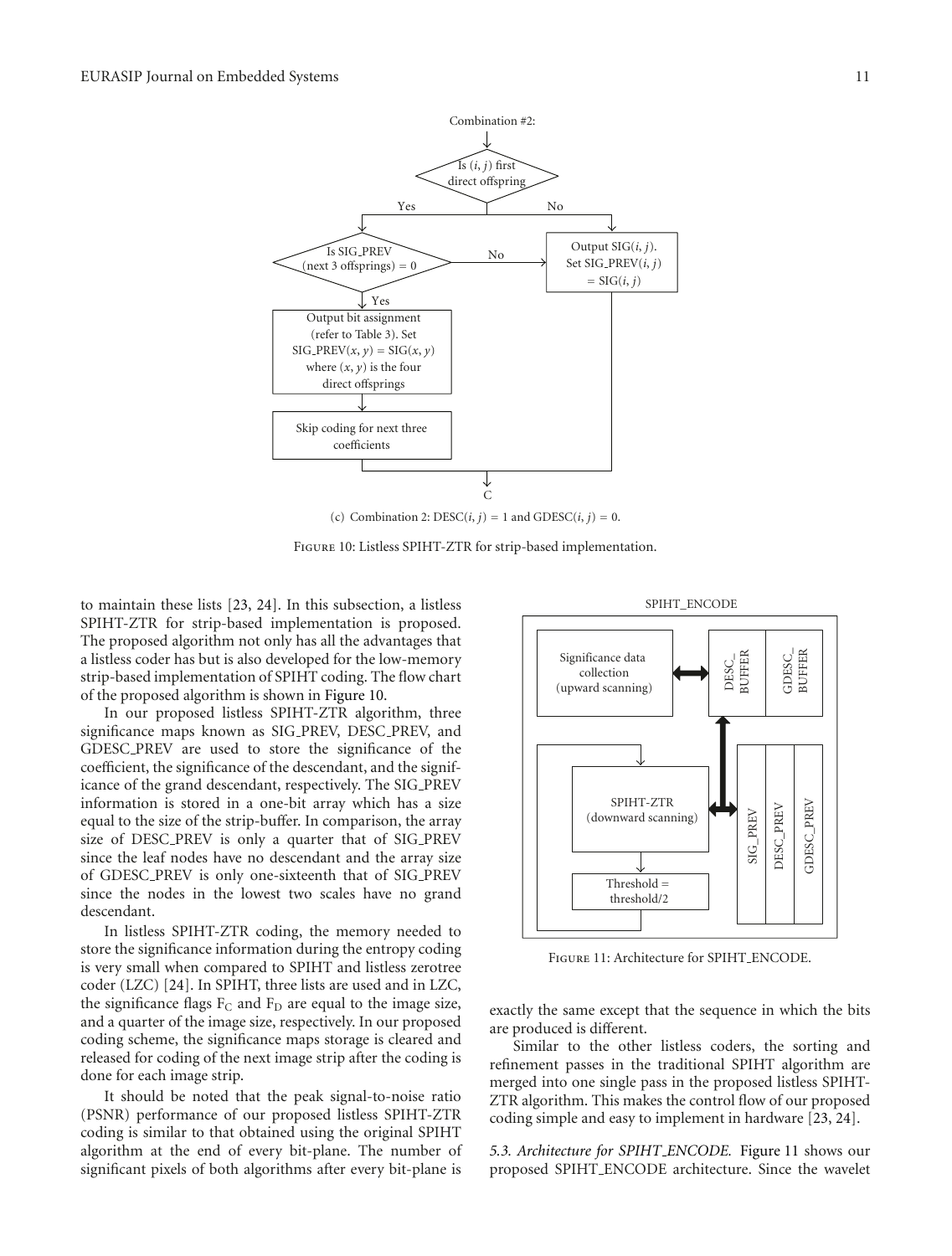

Figure 10: Listless SPIHT-ZTR for strip-based implementation.

to maintain these lists [23, 24]. In this subsection, a listless SPIHT-ZTR for strip-based implementation is proposed. The proposed algorithm not only has all the advantages that a listless coder has but is also developed for the low-memory strip-based implementation of SPIHT coding. The flow chart of the proposed algorithm is shown in Figure 10.

In our proposed listless SPIHT-ZTR algorithm, three significance maps known as SIG PREV, DESC PREV, and GDESC PREV are used to store the significance of the coefficient, the significance of the descendant, and the significance of the grand descendant, respectively. The SIG PREV information is stored in a one-bit array which has a size equal to the size of the strip-buffer. In comparison, the array size of DESC PREV is only a quarter that of SIG PREV since the leaf nodes have no descendant and the array size of GDESC PREV is only one-sixteenth that of SIG PREV since the nodes in the lowest two scales have no grand descendant.

In listless SPIHT-ZTR coding, the memory needed to store the significance information during the entropy coding is very small when compared to SPIHT and listless zerotree coder (LZC) [24]. In SPIHT, three lists are used and in LZC, the significance flags  $F_C$  and  $F_D$  are equal to the image size, and a quarter of the image size, respectively. In our proposed coding scheme, the significance maps storage is cleared and released for coding of the next image strip after the coding is done for each image strip.

It should be noted that the peak signal-to-noise ratio (PSNR) performance of our proposed listless SPIHT-ZTR coding is similar to that obtained using the original SPIHT algorithm at the end of every bit-plane. The number of significant pixels of both algorithms after every bit-plane is

SPIHT\_ENCODE



Figure 11: Architecture for SPIHT ENCODE.

exactly the same except that the sequence in which the bits are produced is different.

Similar to the other listless coders, the sorting and refinement passes in the traditional SPIHT algorithm are merged into one single pass in the proposed listless SPIHT-ZTR algorithm. This makes the control flow of our proposed coding simple and easy to implement in hardware [23, 24].

*5.3. Architecture for SPIHT ENCODE.* Figure 11 shows our proposed SPIHT ENCODE architecture. Since the wavelet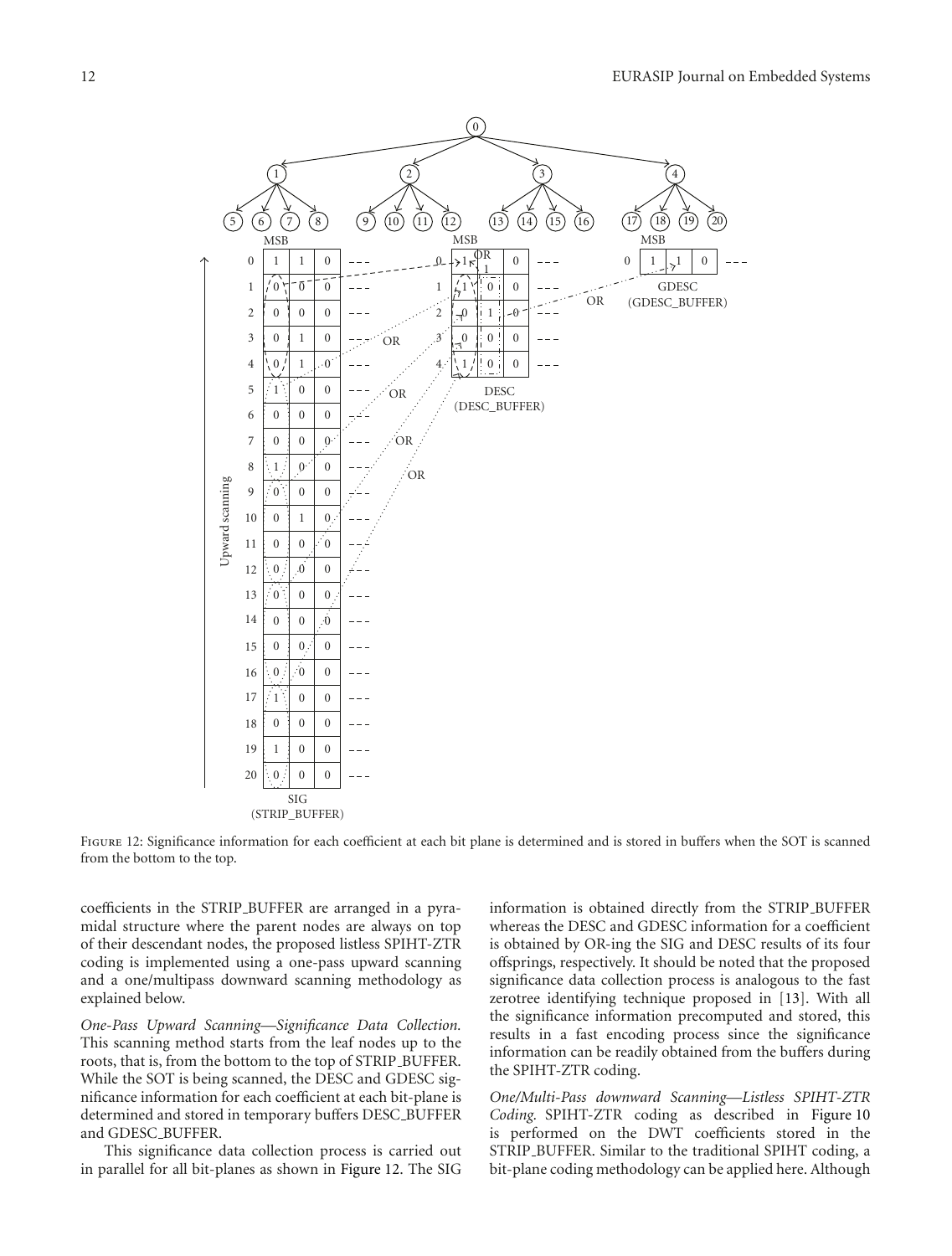

Figure 12: Significance information for each coefficient at each bit plane is determined and is stored in buffers when the SOT is scanned from the bottom to the top.

coefficients in the STRIP BUFFER are arranged in a pyramidal structure where the parent nodes are always on top of their descendant nodes, the proposed listless SPIHT-ZTR coding is implemented using a one-pass upward scanning and a one/multipass downward scanning methodology as explained below.

*One-Pass Upward Scanning—Significance Data Collection.* This scanning method starts from the leaf nodes up to the roots, that is, from the bottom to the top of STRIP\_BUFFER. While the SOT is being scanned, the DESC and GDESC significance information for each coefficient at each bit-plane is determined and stored in temporary buffers DESC BUFFER and GDESC BUFFER.

This significance data collection process is carried out in parallel for all bit-planes as shown in Figure 12. The SIG

information is obtained directly from the STRIP BUFFER whereas the DESC and GDESC information for a coefficient is obtained by OR-ing the SIG and DESC results of its four offsprings, respectively. It should be noted that the proposed significance data collection process is analogous to the fast zerotree identifying technique proposed in [13]. With all the significance information precomputed and stored, this results in a fast encoding process since the significance information can be readily obtained from the buffers during the SPIHT-ZTR coding.

*One/Multi-Pass downward Scanning—Listless SPIHT-ZTR Coding.* SPIHT-ZTR coding as described in Figure 10 is performed on the DWT coefficients stored in the STRIP BUFFER. Similar to the traditional SPIHT coding, a bit-plane coding methodology can be applied here. Although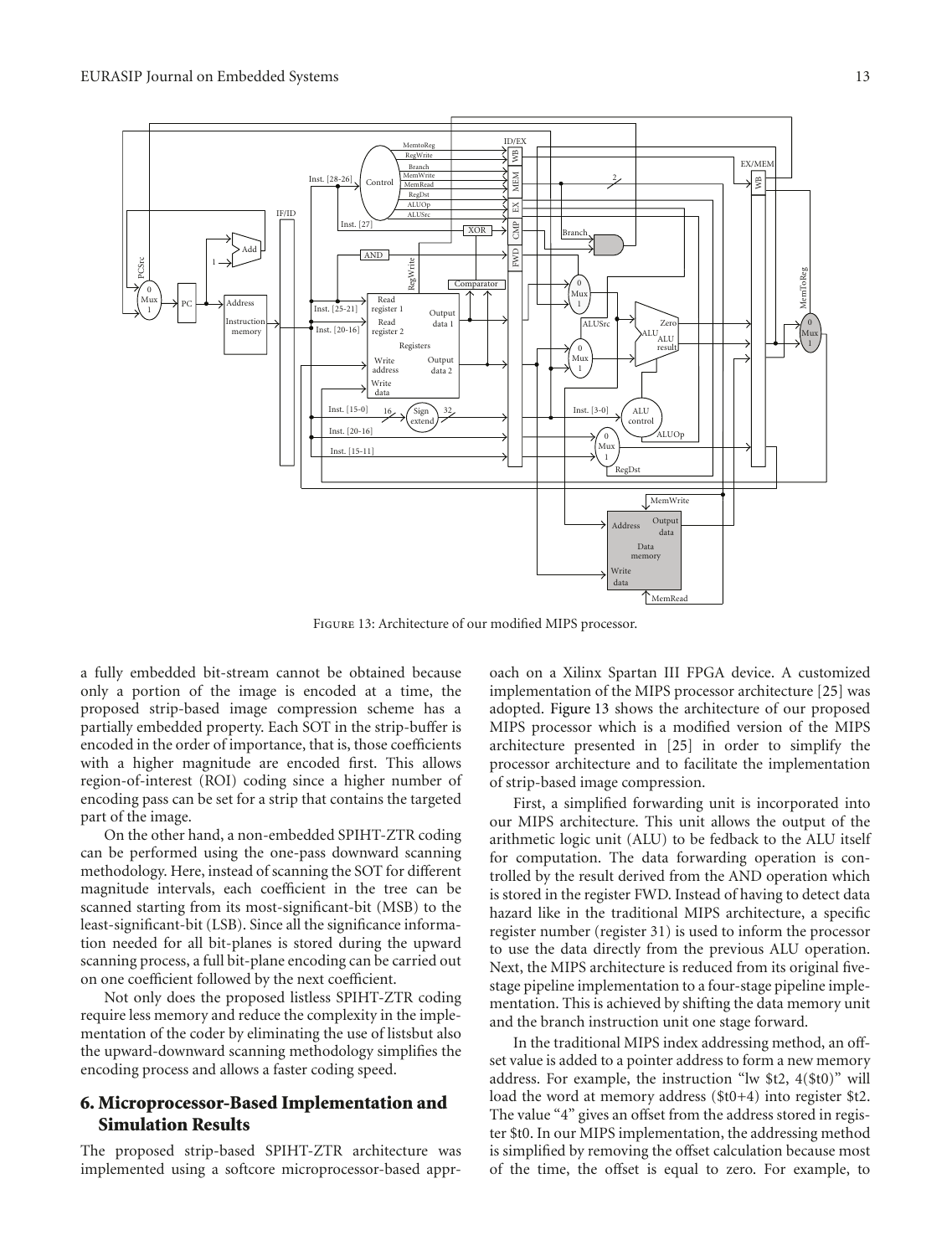

Figure 13: Architecture of our modified MIPS processor.

a fully embedded bit-stream cannot be obtained because only a portion of the image is encoded at a time, the proposed strip-based image compression scheme has a partially embedded property. Each SOT in the strip-buffer is encoded in the order of importance, that is, those coefficients with a higher magnitude are encoded first. This allows region-of-interest (ROI) coding since a higher number of encoding pass can be set for a strip that contains the targeted part of the image.

On the other hand, a non-embedded SPIHT-ZTR coding can be performed using the one-pass downward scanning methodology. Here, instead of scanning the SOT for different magnitude intervals, each coefficient in the tree can be scanned starting from its most-significant-bit (MSB) to the least-significant-bit (LSB). Since all the significance information needed for all bit-planes is stored during the upward scanning process, a full bit-plane encoding can be carried out on one coefficient followed by the next coefficient.

Not only does the proposed listless SPIHT-ZTR coding require less memory and reduce the complexity in the implementation of the coder by eliminating the use of listsbut also the upward-downward scanning methodology simplifies the encoding process and allows a faster coding speed.

# **6. Microprocessor-Based Implementation and Simulation Results**

The proposed strip-based SPIHT-ZTR architecture was implemented using a softcore microprocessor-based approach on a Xilinx Spartan III FPGA device. A customized implementation of the MIPS processor architecture [25] was adopted. Figure 13 shows the architecture of our proposed MIPS processor which is a modified version of the MIPS architecture presented in [25] in order to simplify the processor architecture and to facilitate the implementation of strip-based image compression.

First, a simplified forwarding unit is incorporated into our MIPS architecture. This unit allows the output of the arithmetic logic unit (ALU) to be fedback to the ALU itself for computation. The data forwarding operation is controlled by the result derived from the AND operation which is stored in the register FWD. Instead of having to detect data hazard like in the traditional MIPS architecture, a specific register number (register 31) is used to inform the processor to use the data directly from the previous ALU operation. Next, the MIPS architecture is reduced from its original fivestage pipeline implementation to a four-stage pipeline implementation. This is achieved by shifting the data memory unit and the branch instruction unit one stage forward.

In the traditional MIPS index addressing method, an offset value is added to a pointer address to form a new memory address. For example, the instruction "lw \$t2, 4(\$t0)" will load the word at memory address (\$t0+4) into register \$t2. The value "4" gives an offset from the address stored in register \$t0. In our MIPS implementation, the addressing method is simplified by removing the offset calculation because most of the time, the offset is equal to zero. For example, to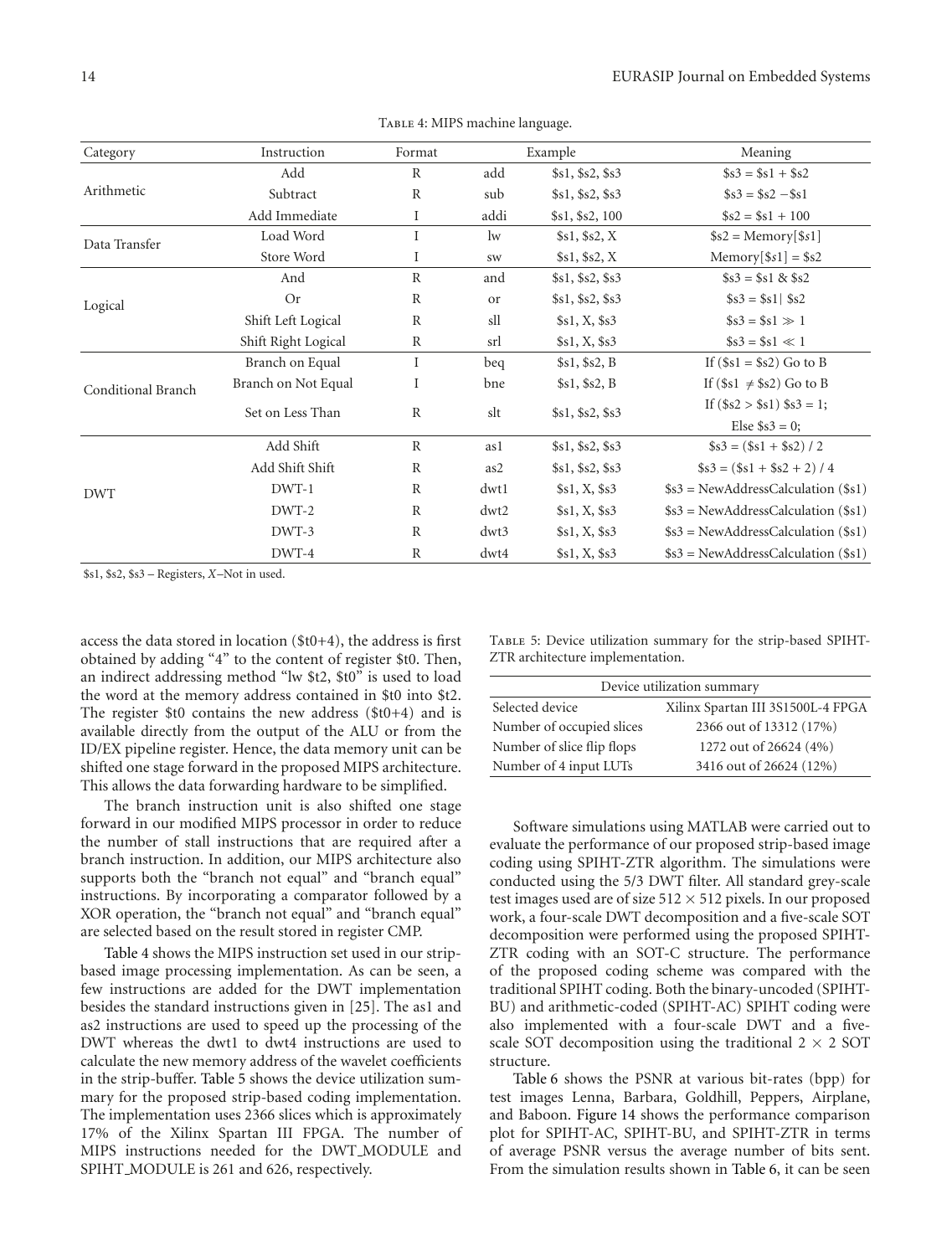| Category           | Instruction         | Format       |      | Example          | Meaning                             |
|--------------------|---------------------|--------------|------|------------------|-------------------------------------|
|                    | Add                 | $\mathbb{R}$ | add  | \$s1, \$s2, \$s3 | $\$s3 = \$s1 + \$s2$                |
| Arithmetic         | Subtract            | $\mathbb{R}$ | sub  | \$s1, \$s2, \$s3 | $\$s3 = \$s2 - \$s1$                |
|                    | Add Immediate       | Ι            | addi | \$s1, \$s2, 100  | $\$s2 = \$s1 + 100$                 |
| Data Transfer      | Load Word           |              | lw   | \$s1, \$s2, X    | $$s2 = Memory[$ \$s1]               |
|                    | Store Word          | Ι            | SW   | \$s1, \$s2, X    | $Memory[$ \$s1] = \$s2              |
|                    | And                 | $\mathbb{R}$ | and  | \$s1, \$s2, \$s3 | $\$s3 = \$s1 \& \$s2$               |
| Logical            | <b>Or</b>           | $\mathbb{R}$ | or   | \$s1, \$s2, \$s3 | $\$s3 = \$s1 $ \\$s2                |
|                    | Shift Left Logical  | R            | sll  | \$s1, X, \$s3    | $\$s3 = \$s1 \gg 1$                 |
|                    | Shift Right Logical | $\mathbb R$  | srl  | \$s1, X, \$s3    | $$s3 = $s1 \ll 1$                   |
|                    | Branch on Equal     | Ι            | beq  | \$s1, \$s2, B    | If $(\$s1 = \$s2)$ Go to B          |
| Conditional Branch | Branch on Not Equal | I            | bne  | \$s1, \$s2, B    | If $(\$s1 \neq \$s2)$ Go to B       |
|                    | Set on Less Than    | R            | slt  | \$s1, \$s2, \$s3 | If $(\$s2 > \$s1)$ $\$s3 = 1$ ;     |
|                    |                     |              |      |                  | Else $$s3 = 0$ ;                    |
|                    | Add Shift           | $\mathbb{R}$ | as 1 | \$s1, \$s2, \$s3 | $$s3 = (\$s1 + \$s2)/2$             |
|                    | Add Shift Shift     | R            | as2  | \$s1, \$s2, \$s3 | $$s3 = (\$s1 + \$s2 + 2)/4$         |
| <b>DWT</b>         | DWT-1               | $\mathbb{R}$ | dwt1 | \$s1, X, \$s3    | $$s3 = NewAddressCalculation ($s1)$ |
|                    | DWT-2               | $\mathbb{R}$ | dwt2 | \$s1, X, \$s3    | $$s3 = NewAddressCalculation ($s1)$ |
|                    | DWT-3               | R            | dwt3 | \$s1, X, \$s3    | $$s3 = NewAddressCalculation ($s1)$ |
|                    | DWT-4               | R            | dwt4 | \$s1, X, \$s3    | $$s3 = NewAddressCalculation ($s1)$ |

TABLE 4: MIPS machine language.

\$s1, \$s2, \$s3 – Registers, *X*–Not in used.

access the data stored in location (\$t0+4), the address is first obtained by adding "4" to the content of register \$t0. Then, an indirect addressing method "lw \$t2, \$t0" is used to load the word at the memory address contained in \$t0 into \$t2. The register \$t0 contains the new address (\$t0+4) and is available directly from the output of the ALU or from the ID/EX pipeline register. Hence, the data memory unit can be shifted one stage forward in the proposed MIPS architecture. This allows the data forwarding hardware to be simplified.

The branch instruction unit is also shifted one stage forward in our modified MIPS processor in order to reduce the number of stall instructions that are required after a branch instruction. In addition, our MIPS architecture also supports both the "branch not equal" and "branch equal" instructions. By incorporating a comparator followed by a XOR operation, the "branch not equal" and "branch equal" are selected based on the result stored in register CMP.

Table 4 shows the MIPS instruction set used in our stripbased image processing implementation. As can be seen, a few instructions are added for the DWT implementation besides the standard instructions given in [25]. The as1 and as2 instructions are used to speed up the processing of the DWT whereas the dwt1 to dwt4 instructions are used to calculate the new memory address of the wavelet coefficients in the strip-buffer. Table 5 shows the device utilization summary for the proposed strip-based coding implementation. The implementation uses 2366 slices which is approximately 17% of the Xilinx Spartan III FPGA. The number of MIPS instructions needed for the DWT MODULE and SPIHT\_MODULE is 261 and 626, respectively.

Table 5: Device utilization summary for the strip-based SPIHT-ZTR architecture implementation.

| Device utilization summary |                                   |  |  |  |  |  |
|----------------------------|-----------------------------------|--|--|--|--|--|
| Selected device            | Xilinx Spartan III 3S1500L-4 FPGA |  |  |  |  |  |
| Number of occupied slices  | 2366 out of 13312 (17%)           |  |  |  |  |  |
| Number of slice flip flops | 1272 out of 26624 (4%)            |  |  |  |  |  |
| Number of 4 input LUTs     | 3416 out of 26624 (12%)           |  |  |  |  |  |

Software simulations using MATLAB were carried out to evaluate the performance of our proposed strip-based image coding using SPIHT-ZTR algorithm. The simulations were conducted using the 5/3 DWT filter. All standard grey-scale test images used are of size  $512 \times 512$  pixels. In our proposed work, a four-scale DWT decomposition and a five-scale SOT decomposition were performed using the proposed SPIHT-ZTR coding with an SOT-C structure. The performance of the proposed coding scheme was compared with the traditional SPIHT coding. Both the binary-uncoded (SPIHT-BU) and arithmetic-coded (SPIHT-AC) SPIHT coding were also implemented with a four-scale DWT and a fivescale SOT decomposition using the traditional  $2 \times 2$  SOT structure.

Table 6 shows the PSNR at various bit-rates (bpp) for test images Lenna, Barbara, Goldhill, Peppers, Airplane, and Baboon. Figure 14 shows the performance comparison plot for SPIHT-AC, SPIHT-BU, and SPIHT-ZTR in terms of average PSNR versus the average number of bits sent. From the simulation results shown in Table 6, it can be seen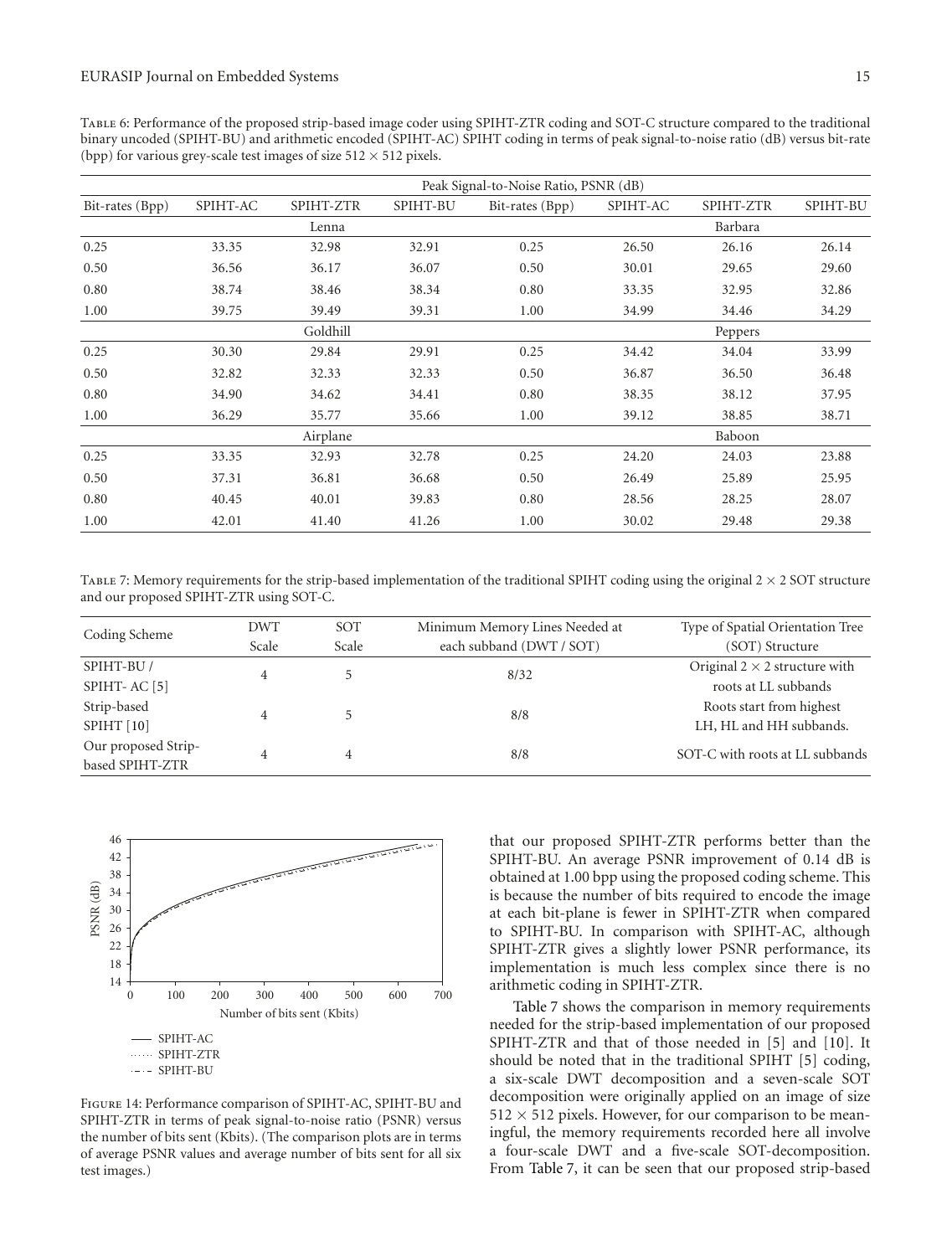Table 6: Performance of the proposed strip-based image coder using SPIHT-ZTR coding and SOT-C structure compared to the traditional binary uncoded (SPIHT-BU) and arithmetic encoded (SPIHT-AC) SPIHT coding in terms of peak signal-to-noise ratio (dB) versus bit-rate (bpp) for various grey-scale test images of size  $512 \times 512$  pixels.

| Peak Signal-to-Noise Ratio, PSNR (dB) |          |           |          |                 |          |           |          |
|---------------------------------------|----------|-----------|----------|-----------------|----------|-----------|----------|
| Bit-rates (Bpp)                       | SPIHT-AC | SPIHT-ZTR | SPIHT-BU | Bit-rates (Bpp) | SPIHT-AC | SPIHT-ZTR | SPIHT-BU |
|                                       |          | Lenna     |          |                 |          | Barbara   |          |
| 0.25                                  | 33.35    | 32.98     | 32.91    | 0.25            | 26.50    | 26.16     | 26.14    |
| 0.50                                  | 36.56    | 36.17     | 36.07    | 0.50            | 30.01    | 29.65     | 29.60    |
| 0.80                                  | 38.74    | 38.46     | 38.34    | 0.80            | 33.35    | 32.95     | 32.86    |
| 1.00                                  | 39.75    | 39.49     | 39.31    | 1.00            | 34.99    | 34.46     | 34.29    |
|                                       |          | Goldhill  |          |                 |          | Peppers   |          |
| 0.25                                  | 30.30    | 29.84     | 29.91    | 0.25            | 34.42    | 34.04     | 33.99    |
| 0.50                                  | 32.82    | 32.33     | 32.33    | 0.50            | 36.87    | 36.50     | 36.48    |
| 0.80                                  | 34.90    | 34.62     | 34.41    | 0.80            | 38.35    | 38.12     | 37.95    |
| 1.00                                  | 36.29    | 35.77     | 35.66    | 1.00            | 39.12    | 38.85     | 38.71    |
|                                       |          | Airplane  |          |                 |          | Baboon    |          |
| 0.25                                  | 33.35    | 32.93     | 32.78    | 0.25            | 24.20    | 24.03     | 23.88    |
| 0.50                                  | 37.31    | 36.81     | 36.68    | 0.50            | 26.49    | 25.89     | 25.95    |
| 0.80                                  | 40.45    | 40.01     | 39.83    | 0.80            | 28.56    | 28.25     | 28.07    |
| 1.00                                  | 42.01    | 41.40     | 41.26    | 1.00            | 30.02    | 29.48     | 29.38    |

TABLE 7: Memory requirements for the strip-based implementation of the traditional SPIHT coding using the original  $2 \times 2$  SOT structure and our proposed SPIHT-ZTR using SOT-C.

| Coding Scheme           | <b>DWT</b> | SOT<br>Minimum Memory Lines Needed at |                          | Type of Spatial Orientation Tree     |
|-------------------------|------------|---------------------------------------|--------------------------|--------------------------------------|
|                         | Scale      | Scale                                 | each subband (DWT / SOT) | (SOT) Structure                      |
| SPIHT-BU/               | 4          |                                       | 8/32                     | Original $2 \times 2$ structure with |
| SPIHT-AC <sup>[5]</sup> |            |                                       |                          | roots at LL subbands                 |
| Strip-based             | 4          |                                       | 8/8                      | Roots start from highest             |
| <b>SPIHT</b> [10]       |            |                                       |                          | LH, HL and HH subbands.              |
| Our proposed Strip-     | 4          | 4                                     | 8/8                      | SOT-C with roots at LL subbands      |
| based SPIHT-ZTR         |            |                                       |                          |                                      |



Figure 14: Performance comparison of SPIHT-AC, SPIHT-BU and SPIHT-ZTR in terms of peak signal-to-noise ratio (PSNR) versus the number of bits sent (Kbits). (The comparison plots are in terms of average PSNR values and average number of bits sent for all six test images.)

that our proposed SPIHT-ZTR performs better than the SPIHT-BU. An average PSNR improvement of 0.14 dB is obtained at 1.00 bpp using the proposed coding scheme. This is because the number of bits required to encode the image at each bit-plane is fewer in SPIHT-ZTR when compared to SPIHT-BU. In comparison with SPIHT-AC, although SPIHT-ZTR gives a slightly lower PSNR performance, its implementation is much less complex since there is no arithmetic coding in SPIHT-ZTR.

Table 7 shows the comparison in memory requirements needed for the strip-based implementation of our proposed SPIHT-ZTR and that of those needed in [5] and [10]. It should be noted that in the traditional SPIHT [5] coding, a six-scale DWT decomposition and a seven-scale SOT decomposition were originally applied on an image of size  $512 \times 512$  pixels. However, for our comparison to be meaningful, the memory requirements recorded here all involve a four-scale DWT and a five-scale SOT-decomposition. From Table 7, it can be seen that our proposed strip-based